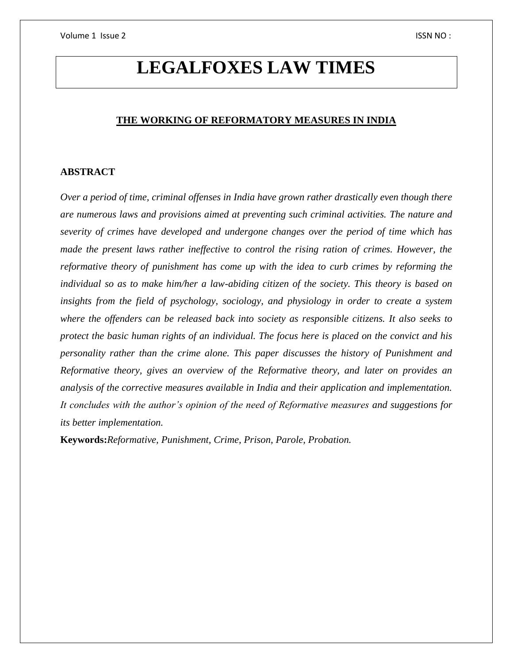# **LEGALFOXES LAW TIMES**

## **THE WORKING OF REFORMATORY MEASURES IN INDIA**

### **ABSTRACT**

*Over a period of time, criminal offenses in India have grown rather drastically even though there are numerous laws and provisions aimed at preventing such criminal activities. The nature and severity of crimes have developed and undergone changes over the period of time which has made the present laws rather ineffective to control the rising ration of crimes. However, the reformative theory of punishment has come up with the idea to curb crimes by reforming the individual so as to make him/her a law-abiding citizen of the society. This theory is based on insights from the field of psychology, sociology, and physiology in order to create a system where the offenders can be released back into society as responsible citizens. It also seeks to protect the basic human rights of an individual. The focus here is placed on the convict and his personality rather than the crime alone. This paper discusses the history of Punishment and Reformative theory, gives an overview of the Reformative theory, and later on provides an analysis of the corrective measures available in India and their application and implementation. It concludes with the author's opinion of the need of Reformative measures and suggestions for its better implementation.*

**Keywords:***Reformative, Punishment, Crime, Prison, Parole, Probation.*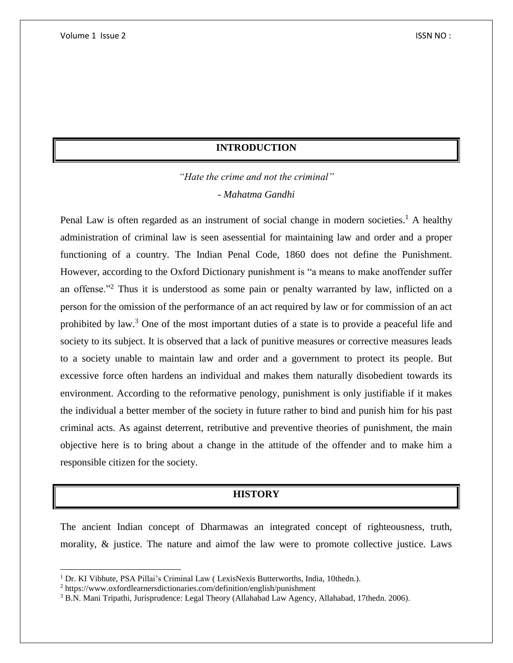## **INTRODUCTION**

*"Hate the crime and not the criminal"* - *Mahatma Gandhi*

Penal Law is often regarded as an instrument of social change in modern societies.<sup>1</sup> A healthy administration of criminal law is seen asessential for maintaining law and order and a proper functioning of a country. The Indian Penal Code, 1860 does not define the Punishment. However, according to the Oxford Dictionary punishment is "a means to make anoffender suffer an offense."<sup>2</sup> Thus it is understood as some pain or penalty warranted by law, inflicted on a person for the omission of the performance of an act required by law or for commission of an act prohibited by law.<sup>3</sup> One of the most important duties of a state is to provide a peaceful life and society to its subject. It is observed that a lack of punitive measures or corrective measures leads to a society unable to maintain law and order and a government to protect its people. But excessive force often hardens an individual and makes them naturally disobedient towards its environment. According to the reformative penology, punishment is only justifiable if it makes the individual a better member of the society in future rather to bind and punish him for his past criminal acts. As against deterrent, retributive and preventive theories of punishment, the main objective here is to bring about a change in the attitude of the offender and to make him a responsible citizen for the society.

## **HISTORY**

The ancient Indian concept of Dharmawas an integrated concept of righteousness, truth, morality, & justice. The nature and aimof the law were to promote collective justice. Laws

 $\overline{\phantom{a}}$ 

<sup>&</sup>lt;sup>1</sup> Dr. KI Vibhute, PSA Pillai's Criminal Law ( LexisNexis Butterworths, India, 10thedn.).

<sup>2</sup> https://www.oxfordlearnersdictionaries.com/definition/english/punishment

<sup>3</sup> B.N. Mani Tripathi, Jurisprudence: Legal Theory (Allahabad Law Agency, Allahabad, 17thedn. 2006).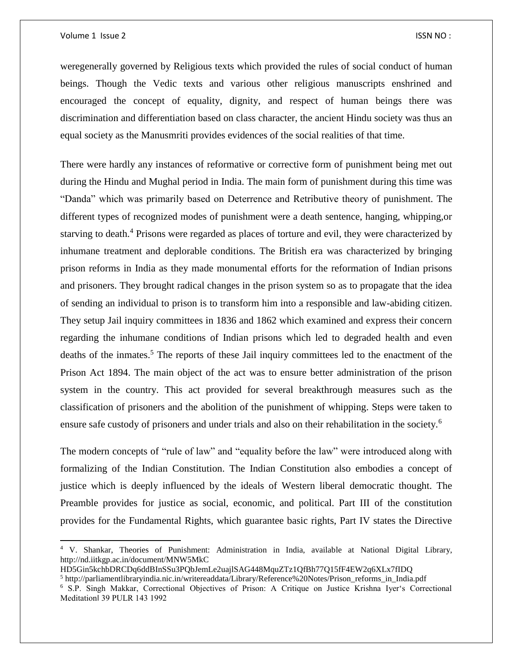$\overline{\phantom{a}}$ 

weregenerally governed by Religious texts which provided the rules of social conduct of human beings. Though the Vedic texts and various other religious manuscripts enshrined and encouraged the concept of equality, dignity, and respect of human beings there was discrimination and differentiation based on class character, the ancient Hindu society was thus an equal society as the Manusmriti provides evidences of the social realities of that time.

There were hardly any instances of reformative or corrective form of punishment being met out during the Hindu and Mughal period in India. The main form of punishment during this time was "Danda" which was primarily based on Deterrence and Retributive theory of punishment. The different types of recognized modes of punishment were a death sentence, hanging, whipping,or starving to death.<sup>4</sup> Prisons were regarded as places of torture and evil, they were characterized by inhumane treatment and deplorable conditions. The British era was characterized by bringing prison reforms in India as they made monumental efforts for the reformation of Indian prisons and prisoners. They brought radical changes in the prison system so as to propagate that the idea of sending an individual to prison is to transform him into a responsible and law-abiding citizen. They setup Jail inquiry committees in 1836 and 1862 which examined and express their concern regarding the inhumane conditions of Indian prisons which led to degraded health and even deaths of the inmates.<sup>5</sup> The reports of these Jail inquiry committees led to the enactment of the Prison Act 1894. The main object of the act was to ensure better administration of the prison system in the country. This act provided for several breakthrough measures such as the classification of prisoners and the abolition of the punishment of whipping. Steps were taken to ensure safe custody of prisoners and under trials and also on their rehabilitation in the society.<sup>6</sup>

The modern concepts of "rule of law" and "equality before the law" were introduced along with formalizing of the Indian Constitution. The Indian Constitution also embodies a concept of justice which is deeply influenced by the ideals of Western liberal democratic thought. The Preamble provides for justice as social, economic, and political. Part III of the constitution provides for the Fundamental Rights, which guarantee basic rights, Part IV states the Directive

<sup>4</sup> V. Shankar, Theories of Punishment: Administration in India, available at National Digital Library, http://nd.iitkgp.ac.in/document/MNW5MkC

HD5Gin5kchbDRCDq6ddBInSSu3PQbJemLe2uajlSAG448MquZTz1QfBh77Q15fF4EW2q6XLx7fIDQ <sup>5</sup> http://parliamentlibraryindia.nic.in/writereaddata/Library/Reference%20Notes/Prison\_reforms\_in\_India.pdf

<sup>6</sup> S.P. Singh Makkar, Correctional Objectives of Prison: A Critique on Justice Krishna Iyer's Correctional Meditation‖ 39 PULR 143 1992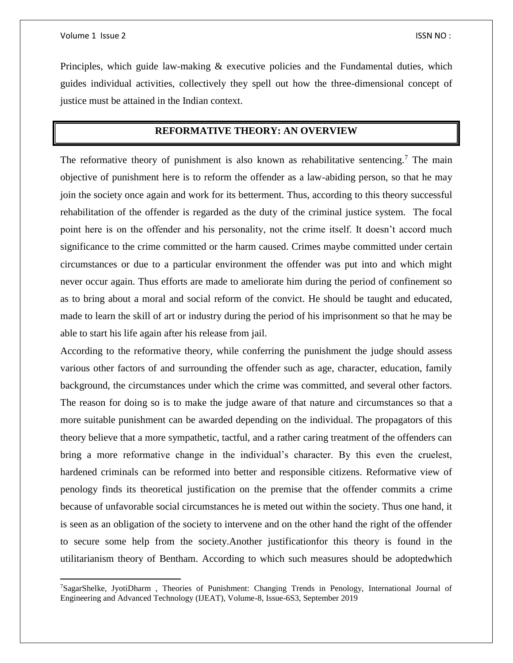$\overline{a}$ 

Principles, which guide law-making  $\&$  executive policies and the Fundamental duties, which guides individual activities, collectively they spell out how the three-dimensional concept of justice must be attained in the Indian context.

## **REFORMATIVE THEORY: AN OVERVIEW**

The reformative theory of punishment is also known as rehabilitative sentencing.<sup>7</sup> The main objective of punishment here is to reform the offender as a law-abiding person, so that he may join the society once again and work for its betterment. Thus, according to this theory successful rehabilitation of the offender is regarded as the duty of the criminal justice system. The focal point here is on the offender and his personality, not the crime itself. It doesn't accord much significance to the crime committed or the harm caused. Crimes maybe committed under certain circumstances or due to a particular environment the offender was put into and which might never occur again. Thus efforts are made to ameliorate him during the period of confinement so as to bring about a moral and social reform of the convict. He should be taught and educated, made to learn the skill of art or industry during the period of his imprisonment so that he may be able to start his life again after his release from jail.

According to the reformative theory, while conferring the punishment the judge should assess various other factors of and surrounding the offender such as age, character, education, family background, the circumstances under which the crime was committed, and several other factors. The reason for doing so is to make the judge aware of that nature and circumstances so that a more suitable punishment can be awarded depending on the individual. The propagators of this theory believe that a more sympathetic, tactful, and a rather caring treatment of the offenders can bring a more reformative change in the individual's character. By this even the cruelest, hardened criminals can be reformed into better and responsible citizens. Reformative view of penology finds its theoretical justification on the premise that the offender commits a crime because of unfavorable social circumstances he is meted out within the society. Thus one hand, it is seen as an obligation of the society to intervene and on the other hand the right of the offender to secure some help from the society.Another justificationfor this theory is found in the utilitarianism theory of Bentham. According to which such measures should be adoptedwhich

<sup>7</sup>SagarShelke, JyotiDharm , Theories of Punishment: Changing Trends in Penology, International Journal of Engineering and Advanced Technology (IJEAT), Volume-8, Issue-6S3, September 2019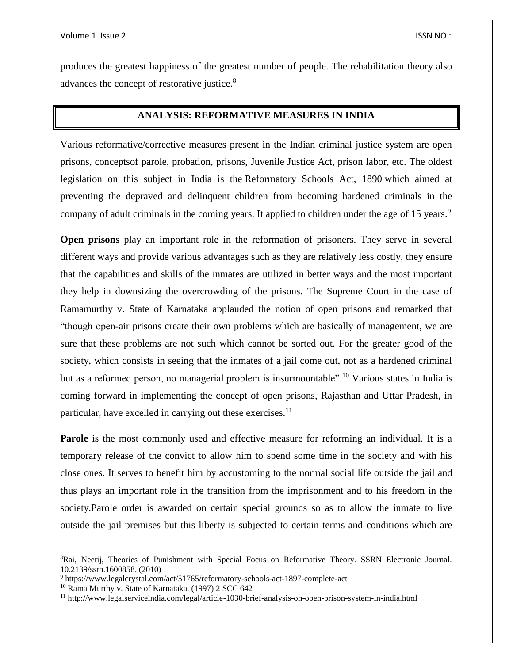produces the greatest happiness of the greatest number of people. The rehabilitation theory also advances the concept of restorative justice.<sup>8</sup>

## **ANALYSIS: REFORMATIVE MEASURES IN INDIA**

Various reformative/corrective measures present in the Indian criminal justice system are open prisons, conceptsof parole, probation, prisons, Juvenile Justice Act, prison labor, etc. The oldest legislation on this subject in India is the Reformatory Schools Act, 1890 which aimed at preventing the depraved and delinquent children from becoming hardened criminals in the company of adult criminals in the coming years. It applied to children under the age of 15 years.<sup>9</sup>

**Open prisons** play an important role in the reformation of prisoners. They serve in several different ways and provide various advantages such as they are relatively less costly, they ensure that the capabilities and skills of the inmates are utilized in better ways and the most important they help in downsizing the overcrowding of the prisons. The Supreme Court in the case of Ramamurthy v. State of Karnataka applauded the notion of open prisons and remarked that "though open-air prisons create their own problems which are basically of management, we are sure that these problems are not such which cannot be sorted out. For the greater good of the society, which consists in seeing that the inmates of a jail come out, not as a hardened criminal but as a reformed person, no managerial problem is insurmountable".<sup>10</sup> Various states in India is coming forward in implementing the concept of open prisons, Rajasthan and Uttar Pradesh, in particular, have excelled in carrying out these exercises.<sup>11</sup>

**Parole** is the most commonly used and effective measure for reforming an individual. It is a temporary release of the convict to allow him to spend some time in the society and with his close ones. It serves to benefit him by accustoming to the normal social life outside the jail and thus plays an important role in the transition from the imprisonment and to his freedom in the society.Parole order is awarded on certain special grounds so as to allow the inmate to live outside the jail premises but this liberty is subjected to certain terms and conditions which are

l

<sup>8</sup>Rai, Neetij, Theories of Punishment with Special Focus on Reformative Theory. SSRN Electronic Journal. 10.2139/ssrn.1600858. (2010)

<sup>9</sup> https://www.legalcrystal.com/act/51765/reformatory-schools-act-1897-complete-act

<sup>10</sup> Rama Murthy v. State of Karnataka, (1997) 2 SCC 642

<sup>11</sup> http://www.legalserviceindia.com/legal/article-1030-brief-analysis-on-open-prison-system-in-india.html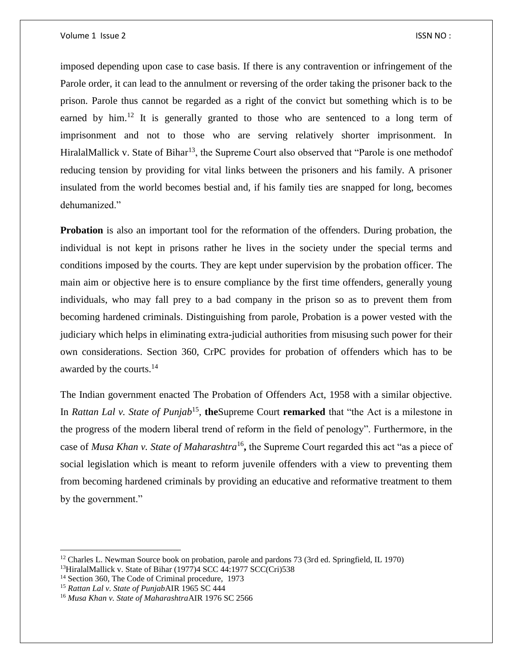imposed depending upon case to case basis. If there is any contravention or infringement of the Parole order, it can lead to the annulment or reversing of the order taking the prisoner back to the prison. Parole thus cannot be regarded as a right of the convict but something which is to be earned by  $\lim_{n \to \infty} 1^2$  It is generally granted to those who are sentenced to a long term of imprisonment and not to those who are serving relatively shorter imprisonment. In HiralalMallick v. State of Bihar<sup>13</sup>, the Supreme Court also observed that "Parole is one methodof reducing tension by providing for vital links between the prisoners and his family. A prisoner insulated from the world becomes bestial and, if his family ties are snapped for long, becomes dehumanized."

**Probation** is also an important tool for the reformation of the offenders. During probation, the individual is not kept in prisons rather he lives in the society under the special terms and conditions imposed by the courts. They are kept under supervision by the probation officer. The main aim or objective here is to ensure compliance by the first time offenders, generally young individuals, who may fall prey to a bad company in the prison so as to prevent them from becoming hardened criminals. Distinguishing from parole, Probation is a power vested with the judiciary which helps in eliminating extra-judicial authorities from misusing such power for their own considerations. Section 360, CrPC provides for probation of offenders which has to be awarded by the courts.<sup>14</sup>

The Indian government enacted The Probation of Offenders Act, 1958 with a similar objective. In *Rattan Lal v. State of Punjab*<sup>15</sup>, the Supreme Court remarked that "the Act is a milestone in the progress of the modern liberal trend of reform in the field of penology". Furthermore, in the case of *Musa Khan v. State of Maharashtra*<sup>16</sup>, the Supreme Court regarded this act "as a piece of social legislation which is meant to reform juvenile offenders with a view to preventing them from becoming hardened criminals by providing an educative and reformative treatment to them by the government."

l

<sup>&</sup>lt;sup>12</sup> Charles L. Newman Source book on probation, parole and pardons 73 (3rd ed. Springfield, IL 1970)

<sup>&</sup>lt;sup>13</sup>HiralalMallick v. State of Bihar (1977)4 SCC 44:1977 SCC(Cri)538

<sup>&</sup>lt;sup>14</sup> Section 360, The Code of Criminal procedure, 1973

<sup>15</sup> *Rattan Lal v. State of Punjab*AIR 1965 SC 444

<sup>16</sup> *Musa Khan v. State of Maharashtra*AIR 1976 SC 2566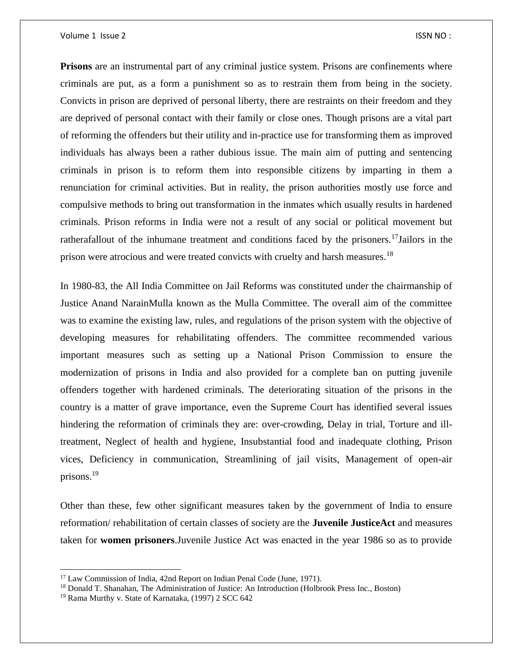#### Volume 1 Issue 2 ISSN NO :

**Prisons** are an instrumental part of any criminal justice system. Prisons are confinements where criminals are put, as a form a punishment so as to restrain them from being in the society. Convicts in prison are deprived of personal liberty, there are restraints on their freedom and they are deprived of personal contact with their family or close ones. Though prisons are a vital part of reforming the offenders but their utility and in-practice use for transforming them as improved individuals has always been a rather dubious issue. The main aim of putting and sentencing criminals in prison is to reform them into responsible citizens by imparting in them a renunciation for criminal activities. But in reality, the prison authorities mostly use force and compulsive methods to bring out transformation in the inmates which usually results in hardened criminals. Prison reforms in India were not a result of any social or political movement but ratherafallout of the inhumane treatment and conditions faced by the prisoners.<sup>17</sup>Jailors in the prison were atrocious and were treated convicts with cruelty and harsh measures.<sup>18</sup>

In 1980-83, the All India Committee on Jail Reforms was constituted under the chairmanship of Justice Anand NarainMulla known as the Mulla Committee. The overall aim of the committee was to examine the existing law, rules, and regulations of the prison system with the objective of developing measures for rehabilitating offenders. The committee recommended various important measures such as setting up a National Prison Commission to ensure the modernization of prisons in India and also provided for a complete ban on putting juvenile offenders together with hardened criminals. The deteriorating situation of the prisons in the country is a matter of grave importance, even the Supreme Court has identified several issues hindering the reformation of criminals they are: over-crowding, Delay in trial, Torture and illtreatment, Neglect of health and hygiene, Insubstantial food and inadequate clothing, Prison vices, Deficiency in communication, Streamlining of jail visits, Management of open-air prisons.<sup>19</sup>

Other than these, few other significant measures taken by the government of India to ensure reformation/ rehabilitation of certain classes of society are the **Juvenile JusticeAct** and measures taken for **women prisoners**.Juvenile Justice Act was enacted in the year 1986 so as to provide

 $\overline{\phantom{a}}$ 

<sup>&</sup>lt;sup>17</sup> Law Commission of India, 42nd Report on Indian Penal Code (June, 1971).

<sup>18</sup> Donald T. Shanahan, The Administration of Justice: An Introduction (Holbrook Press Inc., Boston)

<sup>19</sup> Rama Murthy v. State of Karnataka, (1997) 2 SCC 642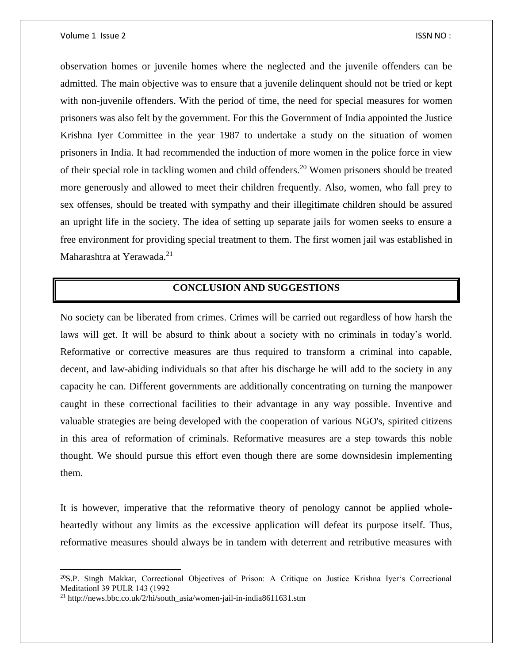#### Volume 1 Issue 2 ISSN NO :

observation homes or juvenile homes where the neglected and the juvenile offenders can be admitted. The main objective was to ensure that a juvenile delinquent should not be tried or kept with non-juvenile offenders. With the period of time, the need for special measures for women prisoners was also felt by the government. For this the Government of India appointed the Justice Krishna Iyer Committee in the year 1987 to undertake a study on the situation of women prisoners in India. It had recommended the induction of more women in the police force in view of their special role in tackling women and child offenders.<sup>20</sup> Women prisoners should be treated more generously and allowed to meet their children frequently. Also, women, who fall prey to sex offenses, should be treated with sympathy and their illegitimate children should be assured an upright life in the society. The idea of setting up separate jails for women seeks to ensure a free environment for providing special treatment to them. The first women jail was established in Maharashtra at Yerawada.<sup>21</sup>

## **CONCLUSION AND SUGGESTIONS**

No society can be liberated from crimes. Crimes will be carried out regardless of how harsh the laws will get. It will be absurd to think about a society with no criminals in today's world. Reformative or corrective measures are thus required to transform a criminal into capable, decent, and law-abiding individuals so that after his discharge he will add to the society in any capacity he can. Different governments are additionally concentrating on turning the manpower caught in these correctional facilities to their advantage in any way possible. Inventive and valuable strategies are being developed with the cooperation of various NGO's, spirited citizens in this area of reformation of criminals. Reformative measures are a step towards this noble thought. We should pursue this effort even though there are some downsidesin implementing them.

It is however, imperative that the reformative theory of penology cannot be applied wholeheartedly without any limits as the excessive application will defeat its purpose itself. Thus, reformative measures should always be in tandem with deterrent and retributive measures with

 $\overline{\phantom{a}}$ 

<sup>20</sup>S.P. Singh Makkar, Correctional Objectives of Prison: A Critique on Justice Krishna Iyer's Correctional Meditation‖ 39 PULR 143 (1992

<sup>21</sup> http://news.bbc.co.uk/2/hi/south\_asia/women-jail-in-india8611631.stm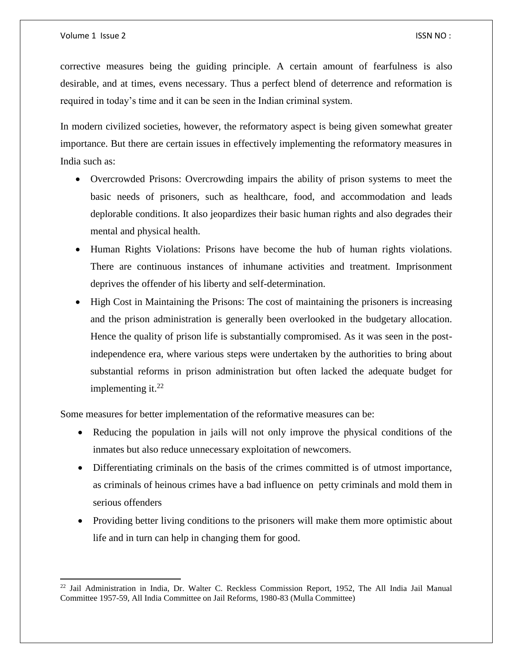$\overline{a}$ 

corrective measures being the guiding principle. A certain amount of fearfulness is also desirable, and at times, evens necessary. Thus a perfect blend of deterrence and reformation is required in today's time and it can be seen in the Indian criminal system.

In modern civilized societies, however, the reformatory aspect is being given somewhat greater importance. But there are certain issues in effectively implementing the reformatory measures in India such as:

- Overcrowded Prisons: Overcrowding impairs the ability of prison systems to meet the basic needs of prisoners, such as healthcare, food, and accommodation and leads deplorable conditions. It also jeopardizes their basic human rights and also degrades their mental and physical health.
- Human Rights Violations: Prisons have become the hub of human rights violations. There are continuous instances of inhumane activities and treatment. Imprisonment deprives the offender of his liberty and self-determination.
- High Cost in Maintaining the Prisons: The cost of maintaining the prisoners is increasing and the prison administration is generally been overlooked in the budgetary allocation. Hence the quality of prison life is substantially compromised. As it was seen in the postindependence era, where various steps were undertaken by the authorities to bring about substantial reforms in prison administration but often lacked the adequate budget for implementing it. $^{22}$

Some measures for better implementation of the reformative measures can be:

- Reducing the population in jails will not only improve the physical conditions of the inmates but also reduce unnecessary exploitation of newcomers.
- Differentiating criminals on the basis of the crimes committed is of utmost importance, as criminals of heinous crimes have a bad influence on petty criminals and mold them in serious offenders
- Providing better living conditions to the prisoners will make them more optimistic about life and in turn can help in changing them for good.

<sup>&</sup>lt;sup>22</sup> Jail Administration in India, Dr. Walter C. Reckless Commission Report, 1952, The All India Jail Manual Committee 1957-59, All India Committee on Jail Reforms, 1980-83 (Mulla Committee)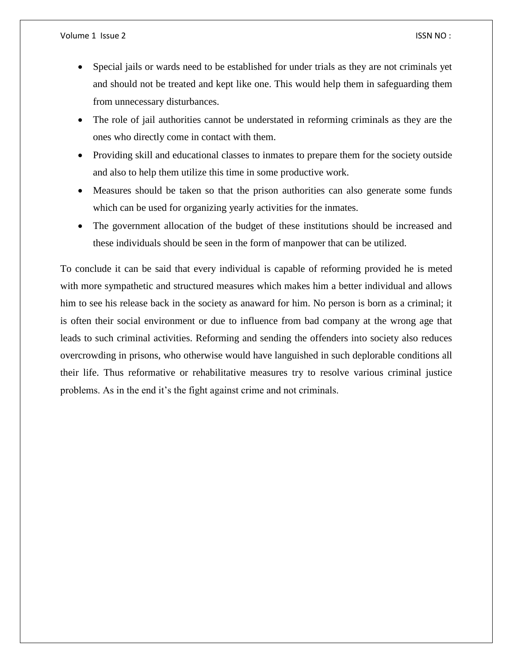- Special jails or wards need to be established for under trials as they are not criminals yet and should not be treated and kept like one. This would help them in safeguarding them from unnecessary disturbances.
- The role of jail authorities cannot be understated in reforming criminals as they are the ones who directly come in contact with them.
- Providing skill and educational classes to inmates to prepare them for the society outside and also to help them utilize this time in some productive work.
- Measures should be taken so that the prison authorities can also generate some funds which can be used for organizing yearly activities for the inmates.
- The government allocation of the budget of these institutions should be increased and these individuals should be seen in the form of manpower that can be utilized.

To conclude it can be said that every individual is capable of reforming provided he is meted with more sympathetic and structured measures which makes him a better individual and allows him to see his release back in the society as anaward for him. No person is born as a criminal; it is often their social environment or due to influence from bad company at the wrong age that leads to such criminal activities. Reforming and sending the offenders into society also reduces overcrowding in prisons, who otherwise would have languished in such deplorable conditions all their life. Thus reformative or rehabilitative measures try to resolve various criminal justice problems. As in the end it's the fight against crime and not criminals.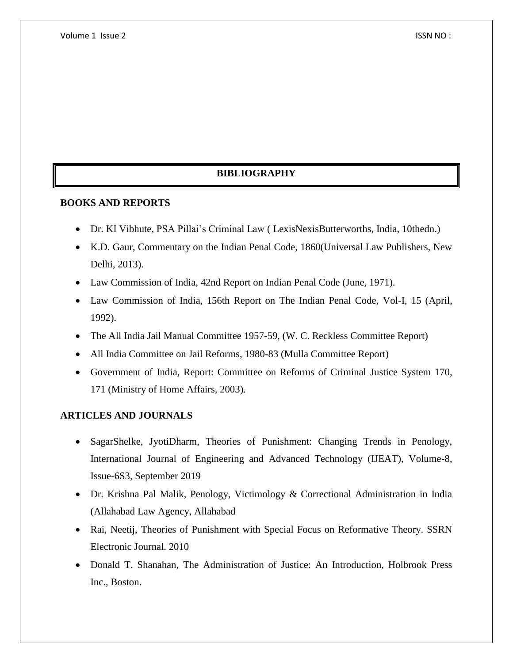## **BIBLIOGRAPHY**

## **BOOKS AND REPORTS**

- Dr. KI Vibhute, PSA Pillai's Criminal Law ( LexisNexisButterworths, India, 10thedn.)
- K.D. Gaur, Commentary on the Indian Penal Code, 1860(Universal Law Publishers, New Delhi, 2013).
- Law Commission of India, 42nd Report on Indian Penal Code (June, 1971).
- Law Commission of India, 156th Report on The Indian Penal Code, Vol-I, 15 (April, 1992).
- The All India Jail Manual Committee 1957-59, (W. C. Reckless Committee Report)
- All India Committee on Jail Reforms, 1980-83 (Mulla Committee Report)
- Government of India, Report: Committee on Reforms of Criminal Justice System 170, 171 (Ministry of Home Affairs, 2003).

## **ARTICLES AND JOURNALS**

- SagarShelke, JyotiDharm, Theories of Punishment: Changing Trends in Penology, International Journal of Engineering and Advanced Technology (IJEAT), Volume-8, Issue-6S3, September 2019
- Dr. Krishna Pal Malik, Penology, Victimology & Correctional Administration in India (Allahabad Law Agency, Allahabad
- Rai, Neetij, Theories of Punishment with Special Focus on Reformative Theory. SSRN Electronic Journal. 2010
- Donald T. Shanahan, The Administration of Justice: An Introduction, Holbrook Press Inc., Boston.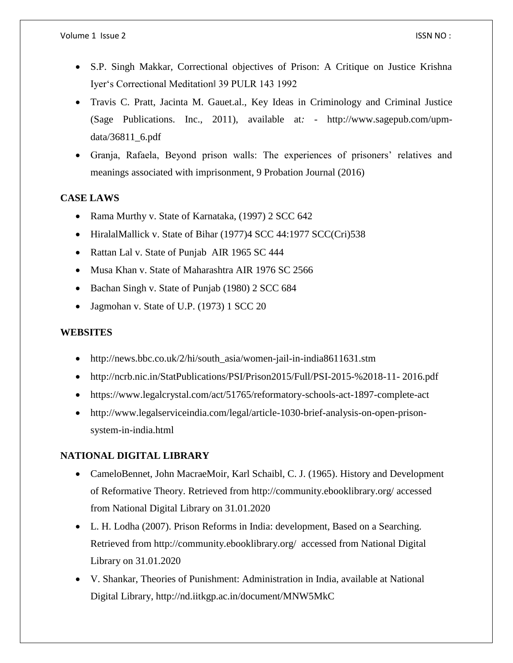- S.P. Singh Makkar, Correctional objectives of Prison: A Critique on Justice Krishna Iyer's Correctional Meditation‖ 39 PULR 143 1992
- Travis C. Pratt, Jacinta M. Gauet.al., Key Ideas in Criminology and Criminal Justice (Sage Publications. Inc., 2011), available at*:* - http://www.sagepub.com/upmdata/36811\_6.pdf
- Granja, Rafaela, Beyond prison walls: The experiences of prisoners' relatives and meanings associated with imprisonment, 9 Probation Journal (2016)

## **CASE LAWS**

- Rama Murthy v. State of Karnataka, (1997) 2 SCC 642
- HiralalMallick v. State of Bihar (1977)4 SCC 44:1977 SCC(Cri)538
- Rattan Lal v. State of Punjab AIR 1965 SC 444
- Musa Khan v. State of Maharashtra AIR 1976 SC 2566
- Bachan Singh v. State of Punjab (1980) 2 SCC 684
- Jagmohan v. State of U.P. (1973) 1 SCC 20

## **WEBSITES**

- http://news.bbc.co.uk/2/hi/south\_asia/women-jail-in-india8611631.stm
- http://ncrb.nic.in/StatPublications/PSI/Prison2015/Full/PSI-2015-%2018-11- 2016.pdf
- https://www.legalcrystal.com/act/51765/reformatory-schools-act-1897-complete-act
- http://www.legalserviceindia.com/legal/article-1030-brief-analysis-on-open-prisonsystem-in-india.html

## **NATIONAL DIGITAL LIBRARY**

- CameloBennet, John MacraeMoir, Karl Schaibl, C. J. (1965). History and Development of Reformative Theory. Retrieved from http://community.ebooklibrary.org/ accessed from National Digital Library on 31.01.2020
- L. H. Lodha (2007). Prison Reforms in India: development, Based on a Searching. Retrieved from http://community.ebooklibrary.org/ accessed from National Digital Library on 31.01.2020
- V. Shankar, Theories of Punishment: Administration in India, available at National Digital Library, http://nd.iitkgp.ac.in/document/MNW5MkC